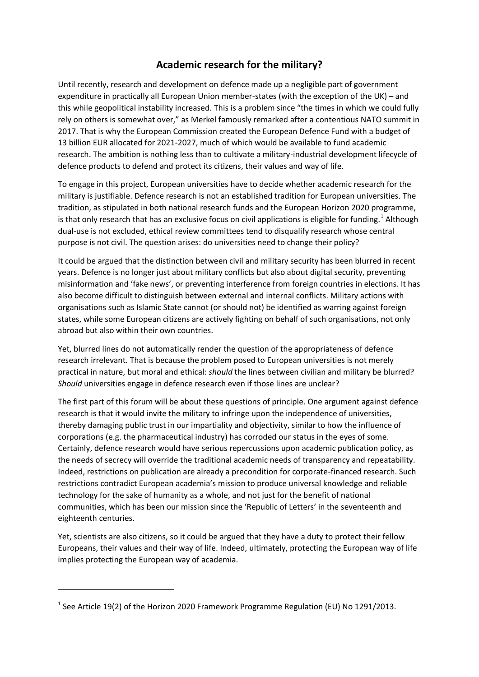## **Academic research for the military?**

Until recently, research and development on defence made up a negligible part of government expenditure in practically all European Union member-states (with the exception of the UK) – and this while geopolitical instability increased. This is a problem since "the times in which we could fully rely on others is somewhat over," as Merkel famously remarked after a contentious NATO summit in 2017. That is why the European Commission created the European Defence Fund with a budget of 13 billion EUR allocated for 2021-2027, much of which would be available to fund academic research. The ambition is nothing less than to cultivate a military-industrial development lifecycle of defence products to defend and protect its citizens, their values and way of life.

To engage in this project, European universities have to decide whether academic research for the military is justifiable. Defence research is not an established tradition for European universities. The tradition, as stipulated in both national research funds and the European Horizon 2020 programme, is that only research that has an exclusive focus on civil applications is eligible for funding.<sup>1</sup> Although dual-use is not excluded, ethical review committees tend to disqualify research whose central purpose is not civil. The question arises: do universities need to change their policy?

It could be argued that the distinction between civil and military security has been blurred in recent years. Defence is no longer just about military conflicts but also about digital security, preventing misinformation and 'fake news', or preventing interference from foreign countries in elections. It has also become difficult to distinguish between external and internal conflicts. Military actions with organisations such as Islamic State cannot (or should not) be identified as warring against foreign states, while some European citizens are actively fighting on behalf of such organisations, not only abroad but also within their own countries.

Yet, blurred lines do not automatically render the question of the appropriateness of defence research irrelevant. That is because the problem posed to European universities is not merely practical in nature, but moral and ethical: *should* the lines between civilian and military be blurred? *Should* universities engage in defence research even if those lines are unclear?

The first part of this forum will be about these questions of principle. One argument against defence research is that it would invite the military to infringe upon the independence of universities, thereby damaging public trust in our impartiality and objectivity, similar to how the influence of corporations (e.g. the pharmaceutical industry) has corroded our status in the eyes of some. Certainly, defence research would have serious repercussions upon academic publication policy, as the needs of secrecy will override the traditional academic needs of transparency and repeatability. Indeed, restrictions on publication are already a precondition for corporate-financed research. Such restrictions contradict European academia's mission to produce universal knowledge and reliable technology for the sake of humanity as a whole, and not just for the benefit of national communities, which has been our mission since the 'Republic of Letters' in the seventeenth and eighteenth centuries.

Yet, scientists are also citizens, so it could be argued that they have a duty to protect their fellow Europeans, their values and their way of life. Indeed, ultimately, protecting the European way of life implies protecting the European way of academia.

1

 $<sup>1</sup>$  See Article 19(2) of the Horizon 2020 Framework Programme Regulation (EU) No 1291/2013.</sup>